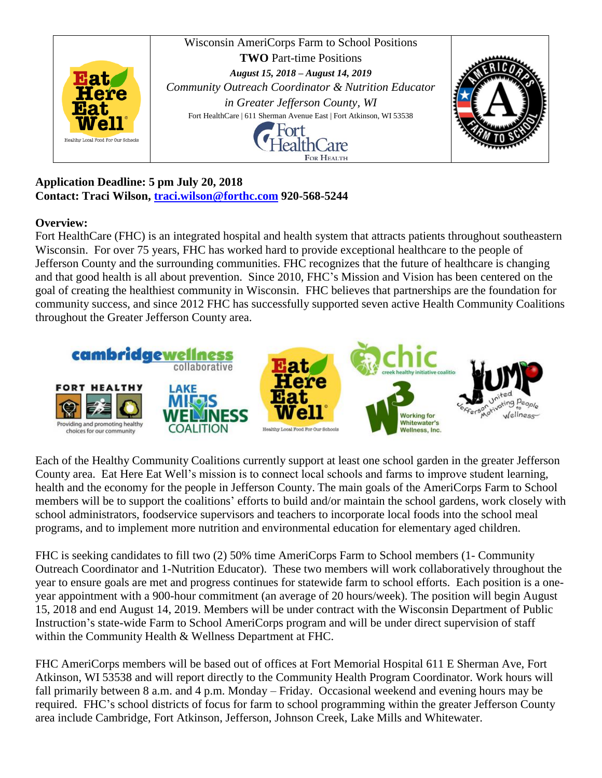

**Application Deadline: 5 pm July 20, 2018 Contact: Traci Wilson, [traci.wilson@forthc.com](mailto:traci.wilson@forthc.com) 920-568-5244**

## **Overview:**

Fort HealthCare (FHC) is an integrated hospital and health system that attracts patients throughout southeastern Wisconsin. For over 75 years, FHC has worked hard to provide exceptional healthcare to the people of Jefferson County and the surrounding communities. FHC recognizes that the future of healthcare is changing and that good health is all about prevention. Since 2010, FHC's Mission and Vision has been centered on the goal of creating the healthiest community in Wisconsin. FHC believes that partnerships are the foundation for community success, and since 2012 FHC has successfully supported seven active Health Community Coalitions throughout the Greater Jefferson County area.



Each of the Healthy Community Coalitions currently support at least one school garden in the greater Jefferson County area. Eat Here Eat Well's mission is to connect local schools and farms to improve student learning, health and the economy for the people in Jefferson County. The main goals of the AmeriCorps Farm to School members will be to support the coalitions' efforts to build and/or maintain the school gardens, work closely with school administrators, foodservice supervisors and teachers to incorporate local foods into the school meal programs, and to implement more nutrition and environmental education for elementary aged children.

FHC is seeking candidates to fill two (2) 50% time AmeriCorps Farm to School members (1- Community Outreach Coordinator and 1-Nutrition Educator). These two members will work collaboratively throughout the year to ensure goals are met and progress continues for statewide farm to school efforts. Each position is a oneyear appointment with a 900-hour commitment (an average of 20 hours/week). The position will begin August 15, 2018 and end August 14, 2019. Members will be under contract with the Wisconsin Department of Public Instruction's state-wide Farm to School AmeriCorps program and will be under direct supervision of staff within the Community Health & Wellness Department at FHC.

FHC AmeriCorps members will be based out of offices at Fort Memorial Hospital 611 E Sherman Ave, Fort Atkinson, WI 53538 and will report directly to the Community Health Program Coordinator. Work hours will fall primarily between 8 a.m. and 4 p.m. Monday – Friday. Occasional weekend and evening hours may be required. FHC's school districts of focus for farm to school programming within the greater Jefferson County area include Cambridge, Fort Atkinson, Jefferson, Johnson Creek, Lake Mills and Whitewater.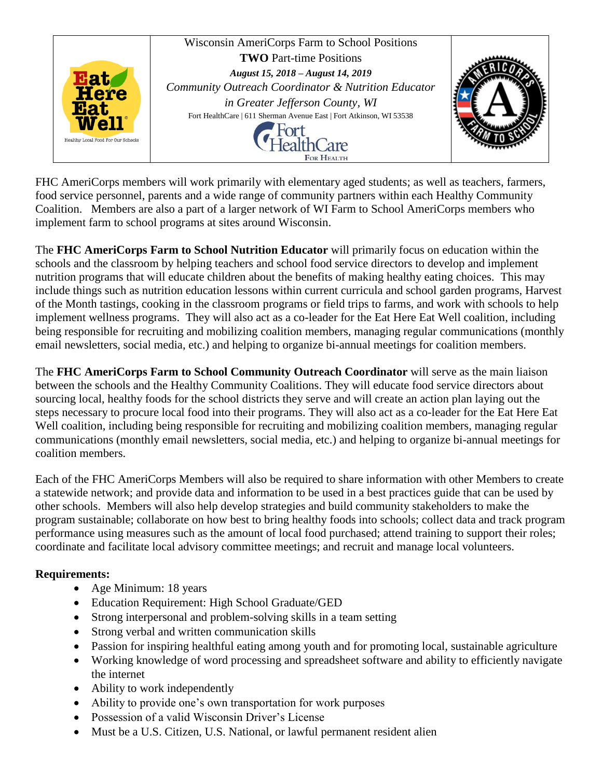

FHC AmeriCorps members will work primarily with elementary aged students; as well as teachers, farmers, food service personnel, parents and a wide range of community partners within each Healthy Community Coalition. Members are also a part of a larger network of WI Farm to School AmeriCorps members who implement farm to school programs at sites around Wisconsin.

The **FHC AmeriCorps Farm to School Nutrition Educator** will primarily focus on education within the schools and the classroom by helping teachers and school food service directors to develop and implement nutrition programs that will educate children about the benefits of making healthy eating choices. This may include things such as nutrition education lessons within current curricula and school garden programs, Harvest of the Month tastings, cooking in the classroom programs or field trips to farms, and work with schools to help implement wellness programs. They will also act as a co-leader for the Eat Here Eat Well coalition, including being responsible for recruiting and mobilizing coalition members, managing regular communications (monthly email newsletters, social media, etc.) and helping to organize bi-annual meetings for coalition members.

The **FHC AmeriCorps Farm to School Community Outreach Coordinator** will serve as the main liaison between the schools and the Healthy Community Coalitions. They will educate food service directors about sourcing local, healthy foods for the school districts they serve and will create an action plan laying out the steps necessary to procure local food into their programs. They will also act as a co-leader for the Eat Here Eat Well coalition, including being responsible for recruiting and mobilizing coalition members, managing regular communications (monthly email newsletters, social media, etc.) and helping to organize bi-annual meetings for coalition members.

Each of the FHC AmeriCorps Members will also be required to share information with other Members to create a statewide network; and provide data and information to be used in a best practices guide that can be used by other schools. Members will also help develop strategies and build community stakeholders to make the program sustainable; collaborate on how best to bring healthy foods into schools; collect data and track program performance using measures such as the amount of local food purchased; attend training to support their roles; coordinate and facilitate local advisory committee meetings; and recruit and manage local volunteers.

## **Requirements:**

- Age Minimum: 18 years
- Education Requirement: High School Graduate/GED
- Strong interpersonal and problem-solving skills in a team setting
- Strong verbal and written communication skills
- Passion for inspiring healthful eating among youth and for promoting local, sustainable agriculture
- Working knowledge of word processing and spreadsheet software and ability to efficiently navigate the internet
- Ability to work independently
- Ability to provide one's own transportation for work purposes
- Possession of a valid Wisconsin Driver's License
- Must be a U.S. Citizen, U.S. National, or lawful permanent resident alien